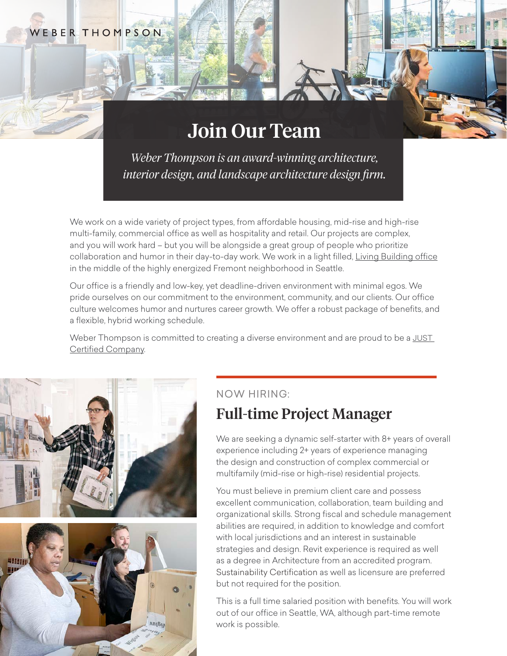#### EBERTHOMPSON

# Join Our Team

*Weber Thompson is an award-winning architecture, interior design, and landscape architecture design firm.*

We work on a wide variety of project types, from affordable housing, mid-rise and high-rise multi-family, commercial office as well as hospitality and retail. Our projects are complex, and you will work hard – but you will be alongside a great group of people who prioritize collaboration and humor in their day-to-day work. We work in a light filled, [Living Building office](https://www.weberthompson.com/project/weber-thompson-offices-at-watershed/#anchor-interior-design) in the middle of the highly energized Fremont neighborhood in Seattle.

Our office is a friendly and low-key, yet deadline-driven environment with minimal egos. We pride ourselves on our commitment to the environment, community, and our clients. Our office culture welcomes humor and nurtures career growth. We offer a robust package of benefits, and a flexible, hybrid working schedule.

Weber Thompson is committed to creating a diverse environment and are proud to be a [JUST](https://living-future.org/just/) [Certified Company.](https://living-future.org/just/)



## NOW HIRING:

# Full-time Project Manager

We are seeking a dynamic self-starter with 8+ years of overall experience including 2+ years of experience managing the design and construction of complex commercial or multifamily (mid-rise or high-rise) residential projects.

You must believe in premium client care and possess excellent communication, collaboration, team building and organizational skills. Strong fiscal and schedule management abilities are required, in addition to knowledge and comfort with local jurisdictions and an interest in sustainable strategies and design. Revit experience is required as well as a degree in Architecture from an accredited program. Sustainability Certification as well as licensure are preferred but not required for the position.

This is a full time salaried position with benefits. You will work out of our office in Seattle, WA, although part-time remote work is possible.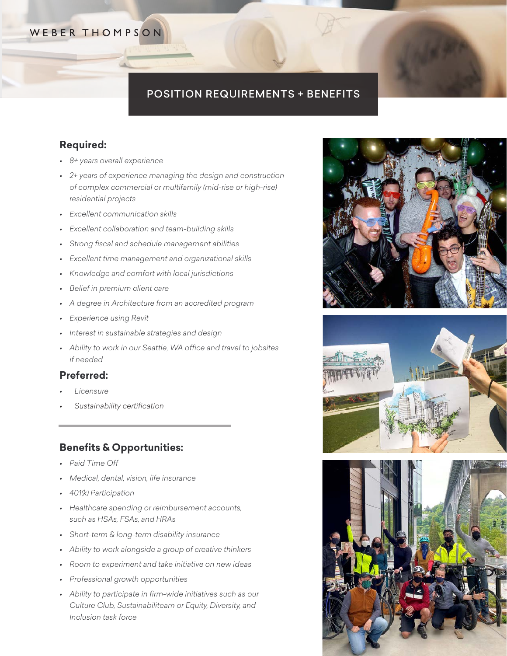# WEBER THOMPSON

# POSITION REQUIREMENTS + BENEFITS

#### **Required:**

- *• 8+ years overall experience*
- *• 2+ years of experience managing the design and construction of complex commercial or multifamily (mid-rise or high-rise) residential projects*
- *• Excellent communication skills*
- *• Excellent collaboration and team-building skills*
- *• Strong fiscal and schedule management abilities*
- *• Excellent time management and organizational skills*
- *• Knowledge and comfort with local jurisdictions*
- *• Belief in premium client care*
- *• A degree in Architecture from an accredited program*
- *• Experience using Revit*
- *• Interest in sustainable strategies and design*
- *• Ability to work in our Seattle, WA office and travel to jobsites if needed*

#### **Preferred:**

- *• Licensure*
- *• Sustainability certification*

#### **Benefits & Opportunities:**

- *• Paid Time Off*
- *• Medical, dental, vision, life insurance*
- *• 401(k) Participation*
- *• Healthcare spending or reimbursement accounts, such as HSAs, FSAs, and HRAs*
- *• Short-term & long-term disability insurance*
- *• Ability to work alongside a group of creative thinkers*
- *• Room to experiment and take initiative on new ideas*
- *• Professional growth opportunities*
- *• Ability to participate in firm-wide initiatives such as our Culture Club, Sustainabiliteam or Equity, Diversity, and Inclusion task force*